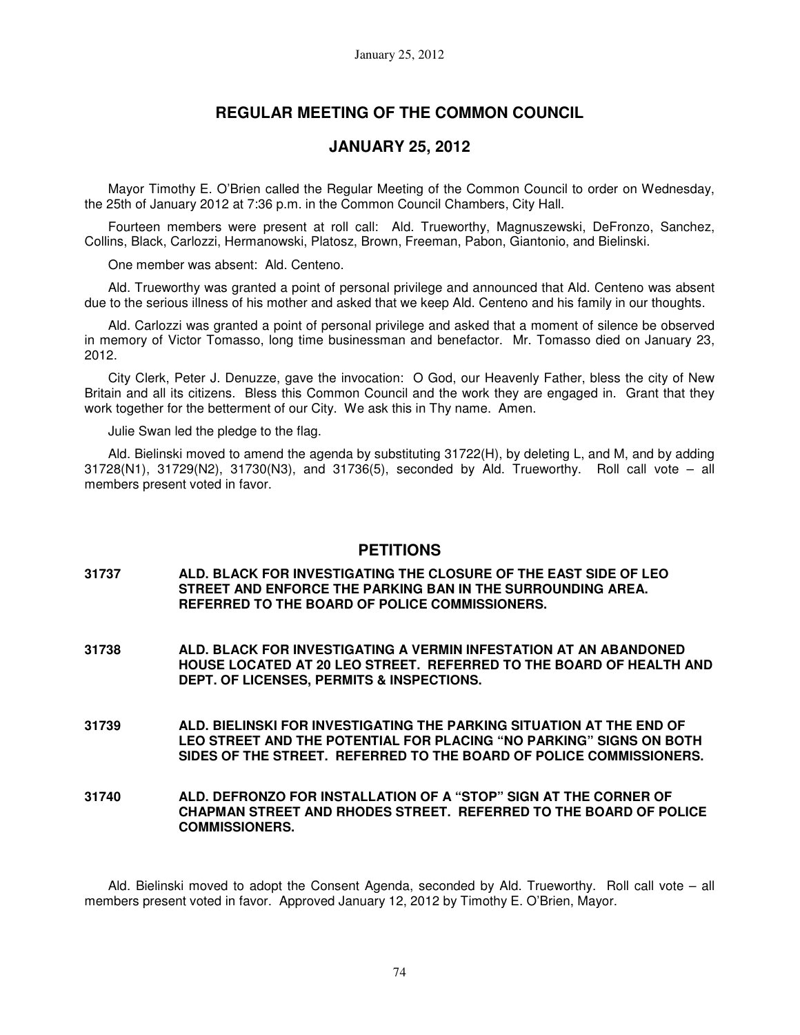## **REGULAR MEETING OF THE COMMON COUNCIL**

## **JANUARY 25, 2012**

Mayor Timothy E. O'Brien called the Regular Meeting of the Common Council to order on Wednesday, the 25th of January 2012 at 7:36 p.m. in the Common Council Chambers, City Hall.

Fourteen members were present at roll call: Ald. Trueworthy, Magnuszewski, DeFronzo, Sanchez, Collins, Black, Carlozzi, Hermanowski, Platosz, Brown, Freeman, Pabon, Giantonio, and Bielinski.

One member was absent: Ald. Centeno.

Ald. Trueworthy was granted a point of personal privilege and announced that Ald. Centeno was absent due to the serious illness of his mother and asked that we keep Ald. Centeno and his family in our thoughts.

Ald. Carlozzi was granted a point of personal privilege and asked that a moment of silence be observed in memory of Victor Tomasso, long time businessman and benefactor. Mr. Tomasso died on January 23, 2012.

City Clerk, Peter J. Denuzze, gave the invocation: O God, our Heavenly Father, bless the city of New Britain and all its citizens. Bless this Common Council and the work they are engaged in. Grant that they work together for the betterment of our City. We ask this in Thy name. Amen.

Julie Swan led the pledge to the flag.

Ald. Bielinski moved to amend the agenda by substituting 31722(H), by deleting L, and M, and by adding  $31728(N1)$ ,  $31729(N2)$ ,  $31730(N3)$ , and  $31736(5)$ , seconded by Ald. Trueworthy. Roll call vote – all members present voted in favor.

#### **PETITIONS**

- **31737 ALD. BLACK FOR INVESTIGATING THE CLOSURE OF THE EAST SIDE OF LEO STREET AND ENFORCE THE PARKING BAN IN THE SURROUNDING AREA. REFERRED TO THE BOARD OF POLICE COMMISSIONERS.**
- **31738 ALD. BLACK FOR INVESTIGATING A VERMIN INFESTATION AT AN ABANDONED HOUSE LOCATED AT 20 LEO STREET. REFERRED TO THE BOARD OF HEALTH AND DEPT. OF LICENSES, PERMITS & INSPECTIONS.**
- **31739 ALD. BIELINSKI FOR INVESTIGATING THE PARKING SITUATION AT THE END OF LEO STREET AND THE POTENTIAL FOR PLACING "NO PARKING" SIGNS ON BOTH SIDES OF THE STREET. REFERRED TO THE BOARD OF POLICE COMMISSIONERS.**

#### **31740 ALD. DEFRONZO FOR INSTALLATION OF A "STOP" SIGN AT THE CORNER OF CHAPMAN STREET AND RHODES STREET. REFERRED TO THE BOARD OF POLICE COMMISSIONERS.**

Ald. Bielinski moved to adopt the Consent Agenda, seconded by Ald. Trueworthy. Roll call vote – all members present voted in favor. Approved January 12, 2012 by Timothy E. O'Brien, Mayor.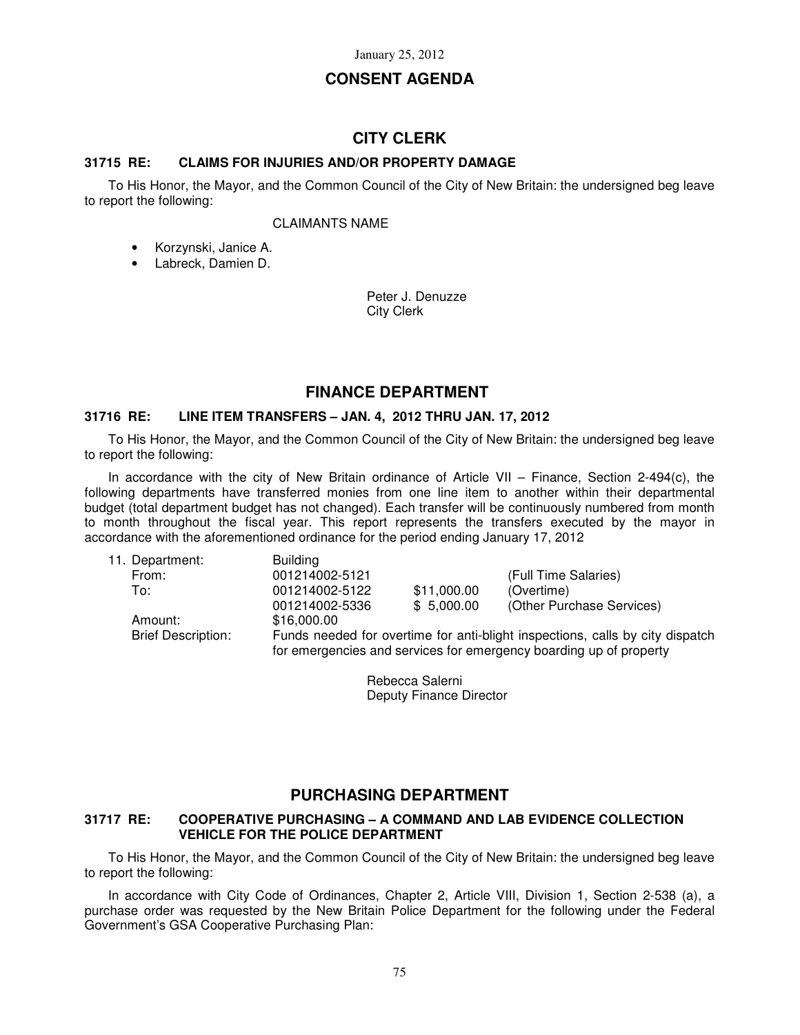## **CONSENT AGENDA**

## **CITY CLERK**

### **31715 RE: CLAIMS FOR INJURIES AND/OR PROPERTY DAMAGE**

To His Honor, the Mayor, and the Common Council of the City of New Britain: the undersigned beg leave to report the following:

#### CLAIMANTS NAME

- Korzynski, Janice A.
- Labreck, Damien D.

Peter J. Denuzze City Clerk

## **FINANCE DEPARTMENT**

### **31716 RE: LINE ITEM TRANSFERS – JAN. 4, 2012 THRU JAN. 17, 2012**

To His Honor, the Mayor, and the Common Council of the City of New Britain: the undersigned beg leave to report the following:

In accordance with the city of New Britain ordinance of Article VII – Finance, Section 2-494(c), the following departments have transferred monies from one line item to another within their departmental budget (total department budget has not changed). Each transfer will be continuously numbered from month to month throughout the fiscal year. This report represents the transfers executed by the mayor in accordance with the aforementioned ordinance for the period ending January 17, 2012

| 11. Department:           | <b>Building</b>                                                               |             |                                                                    |
|---------------------------|-------------------------------------------------------------------------------|-------------|--------------------------------------------------------------------|
| From:                     | 001214002-5121                                                                |             | (Full Time Salaries)                                               |
| To:                       | 001214002-5122                                                                | \$11,000.00 | (Overtime)                                                         |
|                           | 001214002-5336                                                                | \$5,000.00  | (Other Purchase Services)                                          |
| Amount:                   | \$16,000.00                                                                   |             |                                                                    |
| <b>Brief Description:</b> | Funds needed for overtime for anti-blight inspections, calls by city dispatch |             |                                                                    |
|                           |                                                                               |             | for emergencies and services for emergency boarding up of property |

Rebecca Salerni Deputy Finance Director

## **PURCHASING DEPARTMENT**

#### **31717 RE: COOPERATIVE PURCHASING – A COMMAND AND LAB EVIDENCE COLLECTION VEHICLE FOR THE POLICE DEPARTMENT**

To His Honor, the Mayor, and the Common Council of the City of New Britain: the undersigned beg leave to report the following:

In accordance with City Code of Ordinances, Chapter 2, Article VIII, Division 1, Section 2-538 (a), a purchase order was requested by the New Britain Police Department for the following under the Federal Government's GSA Cooperative Purchasing Plan: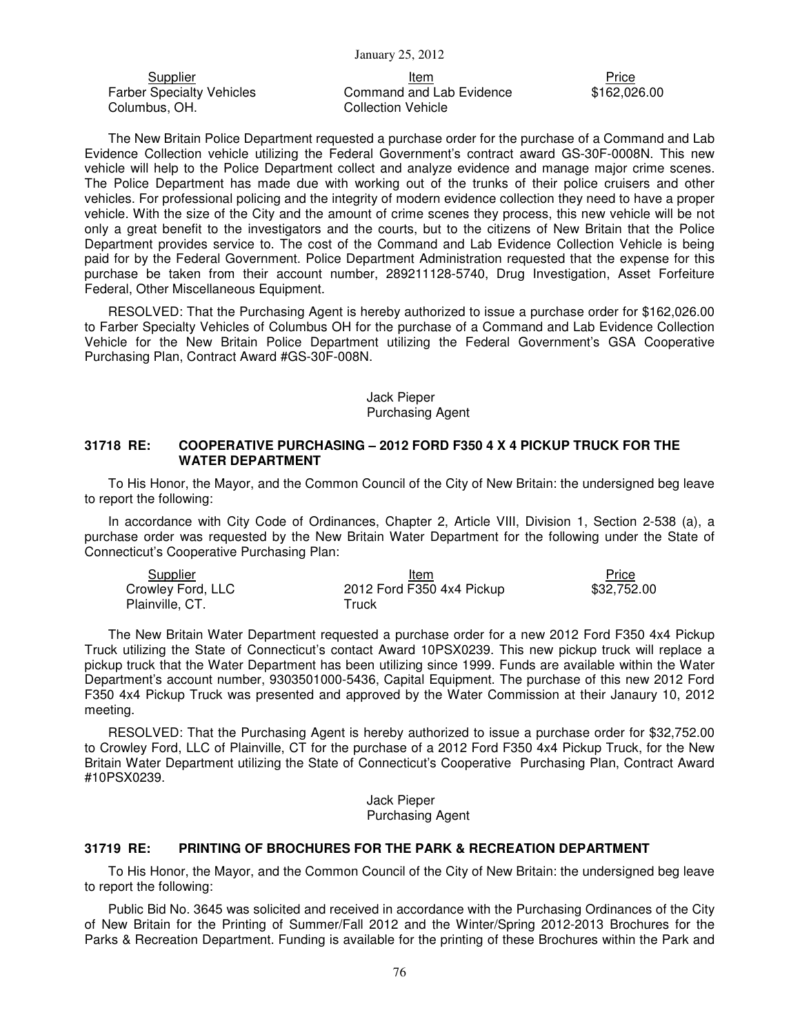Farber Specialty Vehicles Columbus, OH.

<u>Supplier</u> Price **Item Price Price Price Price Price Price** Price Price Price Price Price Price Price Price Price Price Price Price Price Price Price Price Price Price Price Price Price Price Price Price Price Price Price Command and Lab Evidence Collection Vehicle

\$162,026.00

The New Britain Police Department requested a purchase order for the purchase of a Command and Lab Evidence Collection vehicle utilizing the Federal Government's contract award GS-30F-0008N. This new vehicle will help to the Police Department collect and analyze evidence and manage major crime scenes. The Police Department has made due with working out of the trunks of their police cruisers and other vehicles. For professional policing and the integrity of modern evidence collection they need to have a proper vehicle. With the size of the City and the amount of crime scenes they process, this new vehicle will be not only a great benefit to the investigators and the courts, but to the citizens of New Britain that the Police Department provides service to. The cost of the Command and Lab Evidence Collection Vehicle is being paid for by the Federal Government. Police Department Administration requested that the expense for this purchase be taken from their account number, 289211128-5740, Drug Investigation, Asset Forfeiture Federal, Other Miscellaneous Equipment.

RESOLVED: That the Purchasing Agent is hereby authorized to issue a purchase order for \$162,026.00 to Farber Specialty Vehicles of Columbus OH for the purchase of a Command and Lab Evidence Collection Vehicle for the New Britain Police Department utilizing the Federal Government's GSA Cooperative Purchasing Plan, Contract Award #GS-30F-008N.

#### Jack Pieper Purchasing Agent

#### **31718 RE: COOPERATIVE PURCHASING – 2012 FORD F350 4 X 4 PICKUP TRUCK FOR THE WATER DEPARTMENT**

To His Honor, the Mayor, and the Common Council of the City of New Britain: the undersigned beg leave to report the following:

In accordance with City Code of Ordinances, Chapter 2, Article VIII, Division 1, Section 2-538 (a), a purchase order was requested by the New Britain Water Department for the following under the State of Connecticut's Cooperative Purchasing Plan:

| <b>Supplier</b>   | Item                      | Price       |
|-------------------|---------------------------|-------------|
| Crowley Ford, LLC | 2012 Ford F350 4x4 Pickup | \$32,752,00 |
| Plainville, CT.   | ™ruck                     |             |

The New Britain Water Department requested a purchase order for a new 2012 Ford F350 4x4 Pickup Truck utilizing the State of Connecticut's contact Award 10PSX0239. This new pickup truck will replace a pickup truck that the Water Department has been utilizing since 1999. Funds are available within the Water Department's account number, 9303501000-5436, Capital Equipment. The purchase of this new 2012 Ford F350 4x4 Pickup Truck was presented and approved by the Water Commission at their Janaury 10, 2012 meeting.

RESOLVED: That the Purchasing Agent is hereby authorized to issue a purchase order for \$32,752.00 to Crowley Ford, LLC of Plainville, CT for the purchase of a 2012 Ford F350 4x4 Pickup Truck, for the New Britain Water Department utilizing the State of Connecticut's Cooperative Purchasing Plan, Contract Award #10PSX0239.

> Jack Pieper Purchasing Agent

#### **31719 RE: PRINTING OF BROCHURES FOR THE PARK & RECREATION DEPARTMENT**

To His Honor, the Mayor, and the Common Council of the City of New Britain: the undersigned beg leave to report the following:

Public Bid No. 3645 was solicited and received in accordance with the Purchasing Ordinances of the City of New Britain for the Printing of Summer/Fall 2012 and the Winter/Spring 2012-2013 Brochures for the Parks & Recreation Department. Funding is available for the printing of these Brochures within the Park and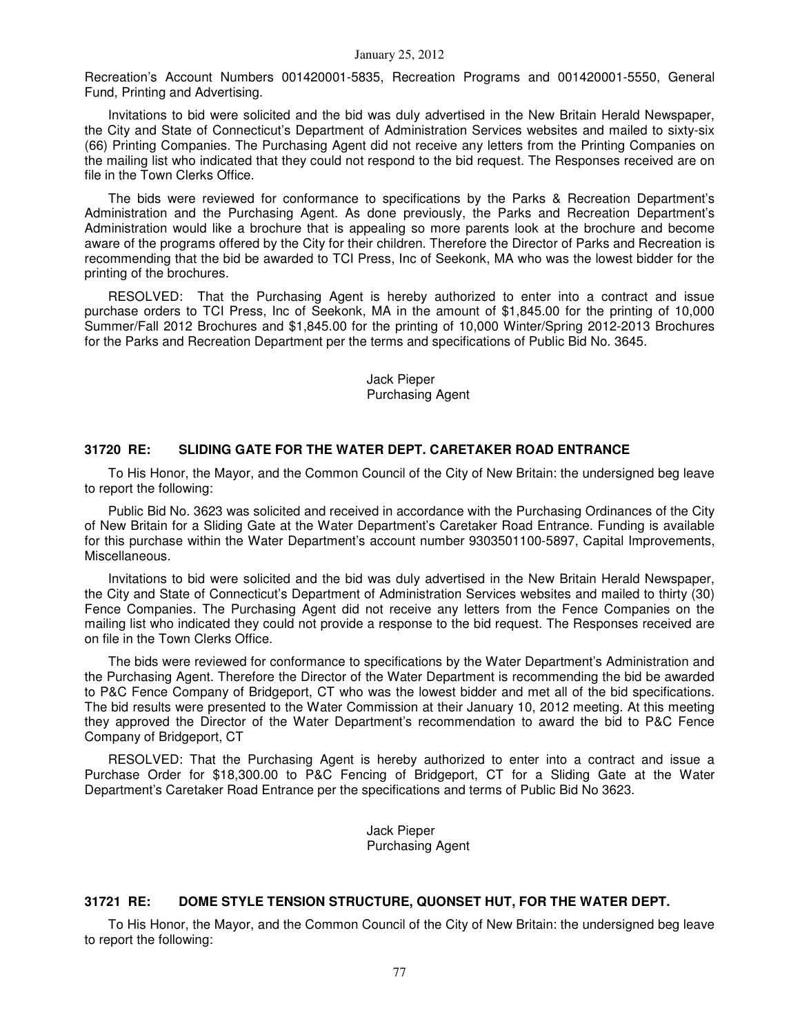Recreation's Account Numbers 001420001-5835, Recreation Programs and 001420001-5550, General Fund, Printing and Advertising.

Invitations to bid were solicited and the bid was duly advertised in the New Britain Herald Newspaper, the City and State of Connecticut's Department of Administration Services websites and mailed to sixty-six (66) Printing Companies. The Purchasing Agent did not receive any letters from the Printing Companies on the mailing list who indicated that they could not respond to the bid request. The Responses received are on file in the Town Clerks Office.

The bids were reviewed for conformance to specifications by the Parks & Recreation Department's Administration and the Purchasing Agent. As done previously, the Parks and Recreation Department's Administration would like a brochure that is appealing so more parents look at the brochure and become aware of the programs offered by the City for their children. Therefore the Director of Parks and Recreation is recommending that the bid be awarded to TCI Press, Inc of Seekonk, MA who was the lowest bidder for the printing of the brochures.

RESOLVED: That the Purchasing Agent is hereby authorized to enter into a contract and issue purchase orders to TCI Press, Inc of Seekonk, MA in the amount of \$1,845.00 for the printing of 10,000 Summer/Fall 2012 Brochures and \$1,845.00 for the printing of 10,000 Winter/Spring 2012-2013 Brochures for the Parks and Recreation Department per the terms and specifications of Public Bid No. 3645.

> Jack Pieper Purchasing Agent

#### **31720 RE: SLIDING GATE FOR THE WATER DEPT. CARETAKER ROAD ENTRANCE**

To His Honor, the Mayor, and the Common Council of the City of New Britain: the undersigned beg leave to report the following:

Public Bid No. 3623 was solicited and received in accordance with the Purchasing Ordinances of the City of New Britain for a Sliding Gate at the Water Department's Caretaker Road Entrance. Funding is available for this purchase within the Water Department's account number 9303501100-5897, Capital Improvements, Miscellaneous.

Invitations to bid were solicited and the bid was duly advertised in the New Britain Herald Newspaper, the City and State of Connecticut's Department of Administration Services websites and mailed to thirty (30) Fence Companies. The Purchasing Agent did not receive any letters from the Fence Companies on the mailing list who indicated they could not provide a response to the bid request. The Responses received are on file in the Town Clerks Office.

The bids were reviewed for conformance to specifications by the Water Department's Administration and the Purchasing Agent. Therefore the Director of the Water Department is recommending the bid be awarded to P&C Fence Company of Bridgeport, CT who was the lowest bidder and met all of the bid specifications. The bid results were presented to the Water Commission at their January 10, 2012 meeting. At this meeting they approved the Director of the Water Department's recommendation to award the bid to P&C Fence Company of Bridgeport, CT

RESOLVED: That the Purchasing Agent is hereby authorized to enter into a contract and issue a Purchase Order for \$18,300.00 to P&C Fencing of Bridgeport, CT for a Sliding Gate at the Water Department's Caretaker Road Entrance per the specifications and terms of Public Bid No 3623.

> Jack Pieper Purchasing Agent

#### **31721 RE: DOME STYLE TENSION STRUCTURE, QUONSET HUT, FOR THE WATER DEPT.**

To His Honor, the Mayor, and the Common Council of the City of New Britain: the undersigned beg leave to report the following: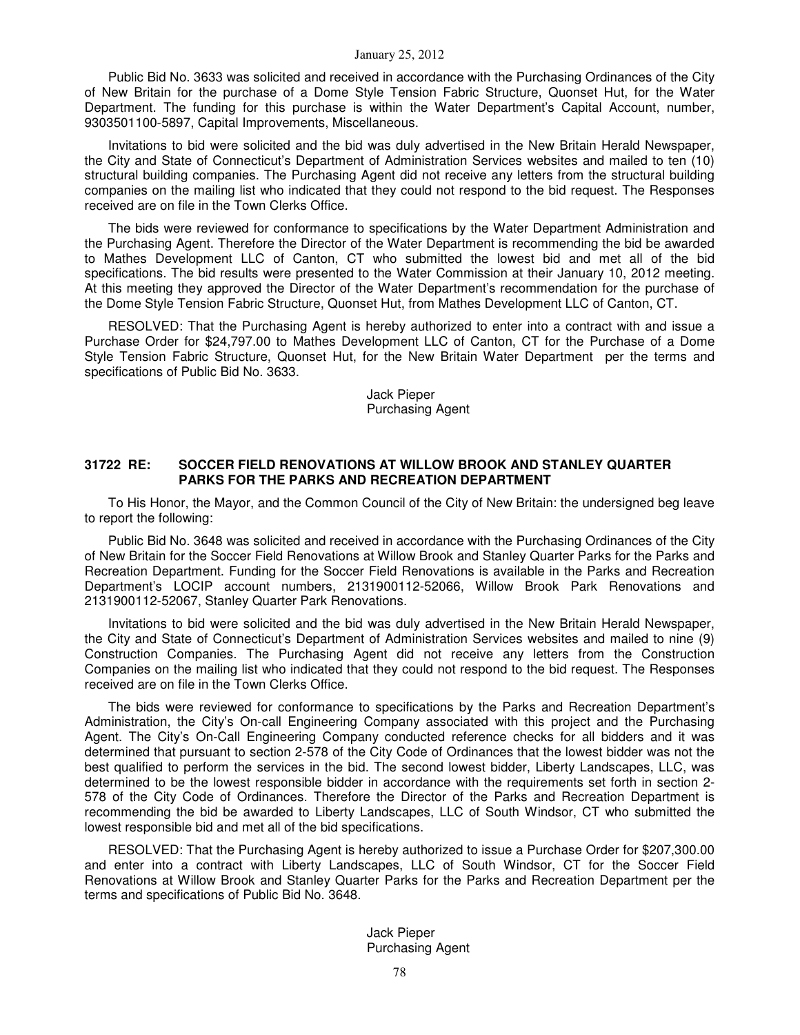Public Bid No. 3633 was solicited and received in accordance with the Purchasing Ordinances of the City of New Britain for the purchase of a Dome Style Tension Fabric Structure, Quonset Hut, for the Water Department. The funding for this purchase is within the Water Department's Capital Account, number, 9303501100-5897, Capital Improvements, Miscellaneous.

Invitations to bid were solicited and the bid was duly advertised in the New Britain Herald Newspaper, the City and State of Connecticut's Department of Administration Services websites and mailed to ten (10) structural building companies. The Purchasing Agent did not receive any letters from the structural building companies on the mailing list who indicated that they could not respond to the bid request. The Responses received are on file in the Town Clerks Office.

The bids were reviewed for conformance to specifications by the Water Department Administration and the Purchasing Agent. Therefore the Director of the Water Department is recommending the bid be awarded to Mathes Development LLC of Canton, CT who submitted the lowest bid and met all of the bid specifications. The bid results were presented to the Water Commission at their January 10, 2012 meeting. At this meeting they approved the Director of the Water Department's recommendation for the purchase of the Dome Style Tension Fabric Structure, Quonset Hut, from Mathes Development LLC of Canton, CT.

RESOLVED: That the Purchasing Agent is hereby authorized to enter into a contract with and issue a Purchase Order for \$24,797.00 to Mathes Development LLC of Canton, CT for the Purchase of a Dome Style Tension Fabric Structure, Quonset Hut, for the New Britain Water Department per the terms and specifications of Public Bid No. 3633.

> Jack Pieper Purchasing Agent

### **31722 RE: SOCCER FIELD RENOVATIONS AT WILLOW BROOK AND STANLEY QUARTER PARKS FOR THE PARKS AND RECREATION DEPARTMENT**

To His Honor, the Mayor, and the Common Council of the City of New Britain: the undersigned beg leave to report the following:

Public Bid No. 3648 was solicited and received in accordance with the Purchasing Ordinances of the City of New Britain for the Soccer Field Renovations at Willow Brook and Stanley Quarter Parks for the Parks and Recreation Department. Funding for the Soccer Field Renovations is available in the Parks and Recreation Department's LOCIP account numbers, 2131900112-52066, Willow Brook Park Renovations and 2131900112-52067, Stanley Quarter Park Renovations.

Invitations to bid were solicited and the bid was duly advertised in the New Britain Herald Newspaper, the City and State of Connecticut's Department of Administration Services websites and mailed to nine (9) Construction Companies. The Purchasing Agent did not receive any letters from the Construction Companies on the mailing list who indicated that they could not respond to the bid request. The Responses received are on file in the Town Clerks Office.

The bids were reviewed for conformance to specifications by the Parks and Recreation Department's Administration, the City's On-call Engineering Company associated with this project and the Purchasing Agent. The City's On-Call Engineering Company conducted reference checks for all bidders and it was determined that pursuant to section 2-578 of the City Code of Ordinances that the lowest bidder was not the best qualified to perform the services in the bid. The second lowest bidder, Liberty Landscapes, LLC, was determined to be the lowest responsible bidder in accordance with the requirements set forth in section 2- 578 of the City Code of Ordinances. Therefore the Director of the Parks and Recreation Department is recommending the bid be awarded to Liberty Landscapes, LLC of South Windsor, CT who submitted the lowest responsible bid and met all of the bid specifications.

RESOLVED: That the Purchasing Agent is hereby authorized to issue a Purchase Order for \$207,300.00 and enter into a contract with Liberty Landscapes, LLC of South Windsor, CT for the Soccer Field Renovations at Willow Brook and Stanley Quarter Parks for the Parks and Recreation Department per the terms and specifications of Public Bid No. 3648.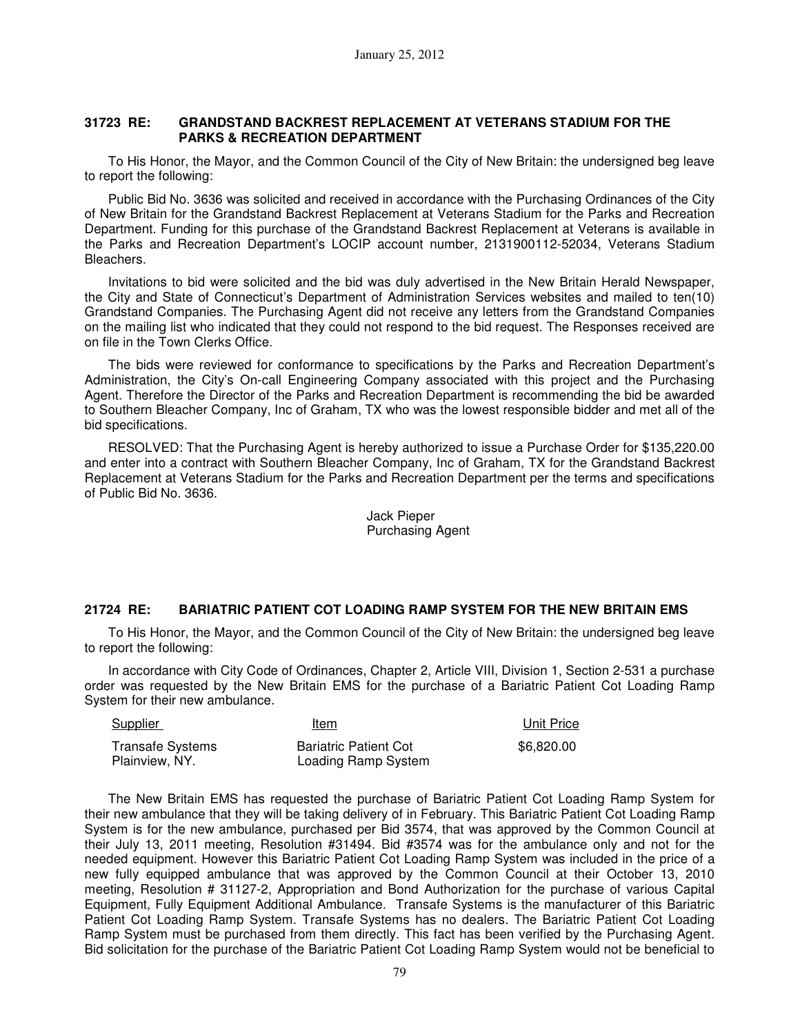#### **31723 RE: GRANDSTAND BACKREST REPLACEMENT AT VETERANS STADIUM FOR THE PARKS & RECREATION DEPARTMENT**

To His Honor, the Mayor, and the Common Council of the City of New Britain: the undersigned beg leave to report the following:

Public Bid No. 3636 was solicited and received in accordance with the Purchasing Ordinances of the City of New Britain for the Grandstand Backrest Replacement at Veterans Stadium for the Parks and Recreation Department. Funding for this purchase of the Grandstand Backrest Replacement at Veterans is available in the Parks and Recreation Department's LOCIP account number, 2131900112-52034, Veterans Stadium Bleachers.

Invitations to bid were solicited and the bid was duly advertised in the New Britain Herald Newspaper, the City and State of Connecticut's Department of Administration Services websites and mailed to ten(10) Grandstand Companies. The Purchasing Agent did not receive any letters from the Grandstand Companies on the mailing list who indicated that they could not respond to the bid request. The Responses received are on file in the Town Clerks Office.

The bids were reviewed for conformance to specifications by the Parks and Recreation Department's Administration, the City's On-call Engineering Company associated with this project and the Purchasing Agent. Therefore the Director of the Parks and Recreation Department is recommending the bid be awarded to Southern Bleacher Company, Inc of Graham, TX who was the lowest responsible bidder and met all of the bid specifications.

RESOLVED: That the Purchasing Agent is hereby authorized to issue a Purchase Order for \$135,220.00 and enter into a contract with Southern Bleacher Company, Inc of Graham, TX for the Grandstand Backrest Replacement at Veterans Stadium for the Parks and Recreation Department per the terms and specifications of Public Bid No. 3636.

> Jack Pieper Purchasing Agent

## **21724 RE: BARIATRIC PATIENT COT LOADING RAMP SYSTEM FOR THE NEW BRITAIN EMS**

To His Honor, the Mayor, and the Common Council of the City of New Britain: the undersigned beg leave to report the following:

In accordance with City Code of Ordinances, Chapter 2, Article VIII, Division 1, Section 2-531 a purchase order was requested by the New Britain EMS for the purchase of a Bariatric Patient Cot Loading Ramp System for their new ambulance.

| Supplier                                  | Item                                                | Unit Price |
|-------------------------------------------|-----------------------------------------------------|------------|
| <b>Transafe Systems</b><br>Plainview, NY. | <b>Bariatric Patient Cot</b><br>Loading Ramp System | \$6,820,00 |

The New Britain EMS has requested the purchase of Bariatric Patient Cot Loading Ramp System for their new ambulance that they will be taking delivery of in February. This Bariatric Patient Cot Loading Ramp System is for the new ambulance, purchased per Bid 3574, that was approved by the Common Council at their July 13, 2011 meeting, Resolution #31494. Bid #3574 was for the ambulance only and not for the needed equipment. However this Bariatric Patient Cot Loading Ramp System was included in the price of a new fully equipped ambulance that was approved by the Common Council at their October 13, 2010 meeting, Resolution # 31127-2, Appropriation and Bond Authorization for the purchase of various Capital Equipment, Fully Equipment Additional Ambulance. Transafe Systems is the manufacturer of this Bariatric Patient Cot Loading Ramp System. Transafe Systems has no dealers. The Bariatric Patient Cot Loading Ramp System must be purchased from them directly. This fact has been verified by the Purchasing Agent. Bid solicitation for the purchase of the Bariatric Patient Cot Loading Ramp System would not be beneficial to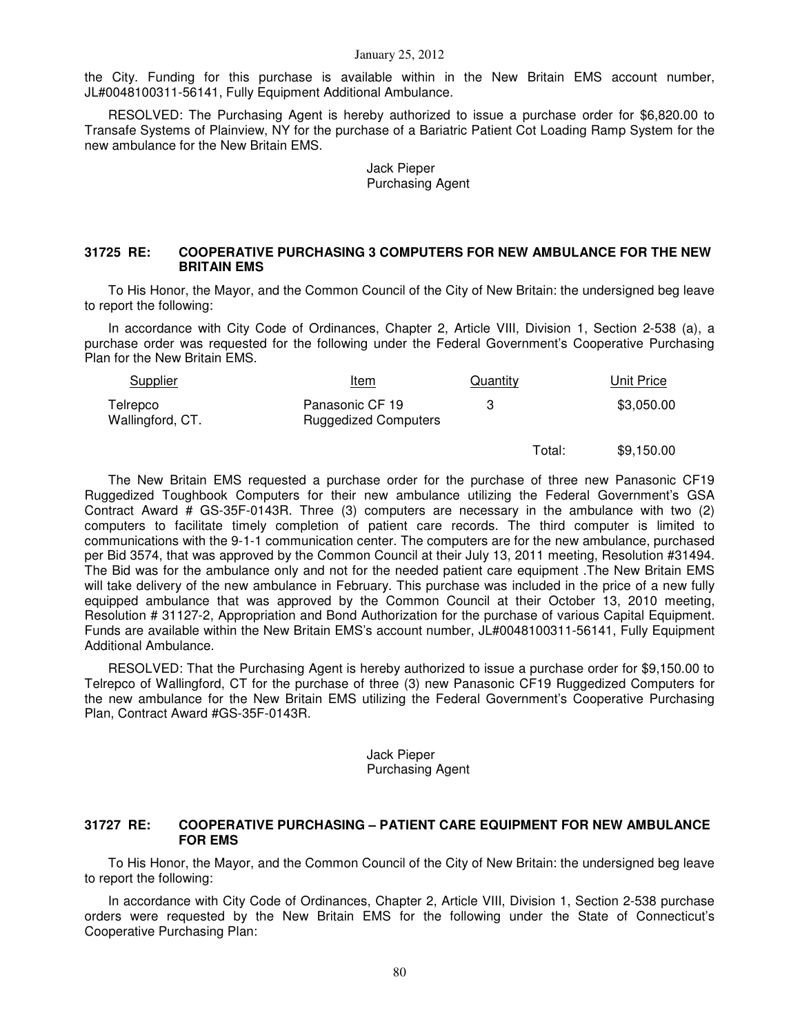the City. Funding for this purchase is available within in the New Britain EMS account number, JL#0048100311-56141, Fully Equipment Additional Ambulance.

RESOLVED: The Purchasing Agent is hereby authorized to issue a purchase order for \$6,820.00 to Transafe Systems of Plainview, NY for the purchase of a Bariatric Patient Cot Loading Ramp System for the new ambulance for the New Britain EMS.

> Jack Pieper Purchasing Agent

#### **31725 RE: COOPERATIVE PURCHASING 3 COMPUTERS FOR NEW AMBULANCE FOR THE NEW BRITAIN EMS**

To His Honor, the Mayor, and the Common Council of the City of New Britain: the undersigned beg leave to report the following:

In accordance with City Code of Ordinances, Chapter 2, Article VIII, Division 1, Section 2-538 (a), a purchase order was requested for the following under the Federal Government's Cooperative Purchasing Plan for the New Britain EMS.

| <b>Supplier</b>              | Item                                           | Quantity | Unit Price |
|------------------------------|------------------------------------------------|----------|------------|
| Telrepco<br>Wallingford, CT. | Panasonic CF 19<br><b>Ruggedized Computers</b> |          | \$3,050.00 |

Total: \$9,150.00

The New Britain EMS requested a purchase order for the purchase of three new Panasonic CF19 Ruggedized Toughbook Computers for their new ambulance utilizing the Federal Government's GSA Contract Award # GS-35F-0143R. Three (3) computers are necessary in the ambulance with two (2) computers to facilitate timely completion of patient care records. The third computer is limited to communications with the 9-1-1 communication center. The computers are for the new ambulance, purchased per Bid 3574, that was approved by the Common Council at their July 13, 2011 meeting, Resolution #31494. The Bid was for the ambulance only and not for the needed patient care equipment .The New Britain EMS will take delivery of the new ambulance in February. This purchase was included in the price of a new fully equipped ambulance that was approved by the Common Council at their October 13, 2010 meeting, Resolution # 31127-2, Appropriation and Bond Authorization for the purchase of various Capital Equipment. Funds are available within the New Britain EMS's account number, JL#0048100311-56141, Fully Equipment Additional Ambulance.

RESOLVED: That the Purchasing Agent is hereby authorized to issue a purchase order for \$9,150.00 to Telrepco of Wallingford, CT for the purchase of three (3) new Panasonic CF19 Ruggedized Computers for the new ambulance for the New Britain EMS utilizing the Federal Government's Cooperative Purchasing Plan, Contract Award #GS-35F-0143R.

#### Jack Pieper Purchasing Agent

#### **31727 RE: COOPERATIVE PURCHASING – PATIENT CARE EQUIPMENT FOR NEW AMBULANCE FOR EMS**

To His Honor, the Mayor, and the Common Council of the City of New Britain: the undersigned beg leave to report the following:

In accordance with City Code of Ordinances, Chapter 2, Article VIII, Division 1, Section 2-538 purchase orders were requested by the New Britain EMS for the following under the State of Connecticut's Cooperative Purchasing Plan: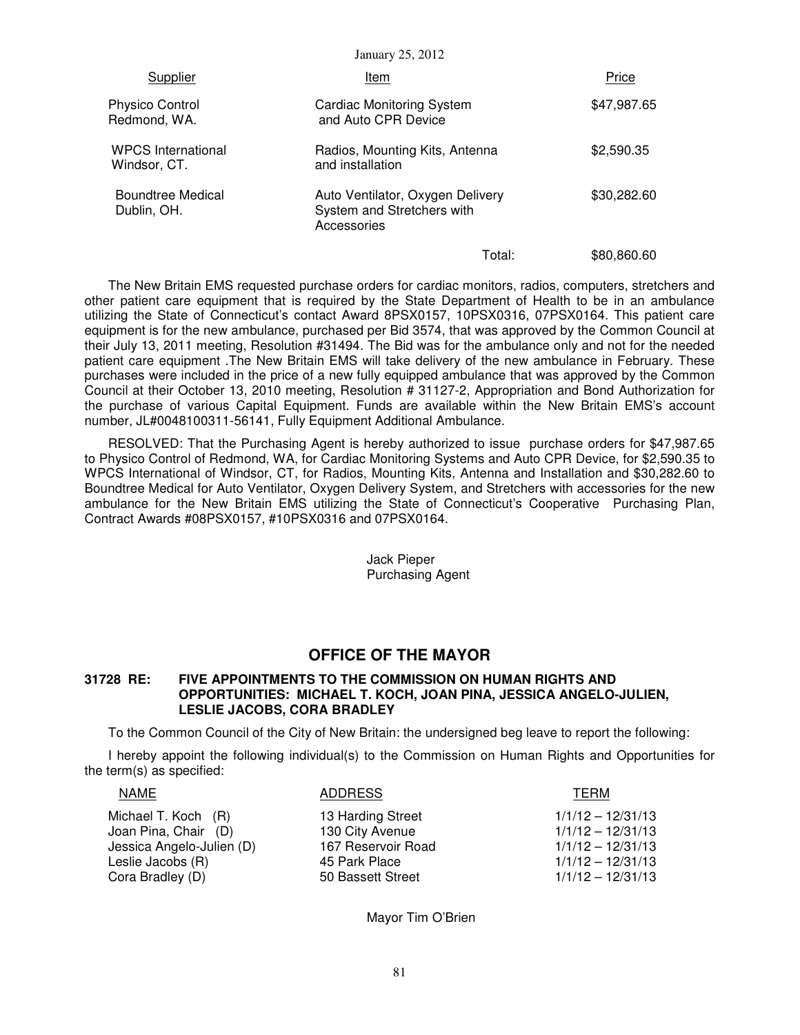| Supplier                                  | Item                                                                          | Price       |
|-------------------------------------------|-------------------------------------------------------------------------------|-------------|
| <b>Physico Control</b><br>Redmond, WA.    | <b>Cardiac Monitoring System</b><br>and Auto CPR Device                       | \$47,987.65 |
| <b>WPCS</b> International<br>Windsor, CT. | Radios, Mounting Kits, Antenna<br>and installation                            | \$2,590.35  |
| Boundtree Medical<br>Dublin, OH.          | Auto Ventilator, Oxygen Delivery<br>System and Stretchers with<br>Accessories | \$30,282.60 |
|                                           | Total:                                                                        | \$80,860.60 |

The New Britain EMS requested purchase orders for cardiac monitors, radios, computers, stretchers and other patient care equipment that is required by the State Department of Health to be in an ambulance utilizing the State of Connecticut's contact Award 8PSX0157, 10PSX0316, 07PSX0164. This patient care equipment is for the new ambulance, purchased per Bid 3574, that was approved by the Common Council at their July 13, 2011 meeting, Resolution #31494. The Bid was for the ambulance only and not for the needed patient care equipment .The New Britain EMS will take delivery of the new ambulance in February. These purchases were included in the price of a new fully equipped ambulance that was approved by the Common Council at their October 13, 2010 meeting, Resolution # 31127-2, Appropriation and Bond Authorization for the purchase of various Capital Equipment. Funds are available within the New Britain EMS's account number, JL#0048100311-56141, Fully Equipment Additional Ambulance.

RESOLVED: That the Purchasing Agent is hereby authorized to issue purchase orders for \$47,987.65 to Physico Control of Redmond, WA, for Cardiac Monitoring Systems and Auto CPR Device, for \$2,590.35 to WPCS International of Windsor, CT, for Radios, Mounting Kits, Antenna and Installation and \$30,282.60 to Boundtree Medical for Auto Ventilator, Oxygen Delivery System, and Stretchers with accessories for the new ambulance for the New Britain EMS utilizing the State of Connecticut's Cooperative Purchasing Plan, Contract Awards #08PSX0157, #10PSX0316 and 07PSX0164.

> Jack Pieper Purchasing Agent

## **OFFICE OF THE MAYOR**

#### **31728 RE: FIVE APPOINTMENTS TO THE COMMISSION ON HUMAN RIGHTS AND OPPORTUNITIES: MICHAEL T. KOCH, JOAN PINA, JESSICA ANGELO-JULIEN, LESLIE JACOBS, CORA BRADLEY**

To the Common Council of the City of New Britain: the undersigned beg leave to report the following:

I hereby appoint the following individual(s) to the Commission on Human Rights and Opportunities for the term(s) as specified:

| NAME                      | <b>ADDRESS</b>     | TERM                |
|---------------------------|--------------------|---------------------|
| Michael T. Koch (R)       | 13 Harding Street  | $1/1/12 - 12/31/13$ |
| Joan Pina, Chair (D)      | 130 City Avenue    | $1/1/12 - 12/31/13$ |
| Jessica Angelo-Julien (D) | 167 Reservoir Road | $1/1/12 - 12/31/13$ |
| Leslie Jacobs (R)         | 45 Park Place      | $1/1/12 - 12/31/13$ |
| Cora Bradley (D)          | 50 Bassett Street  | $1/1/12 - 12/31/13$ |

Mayor Tim O'Brien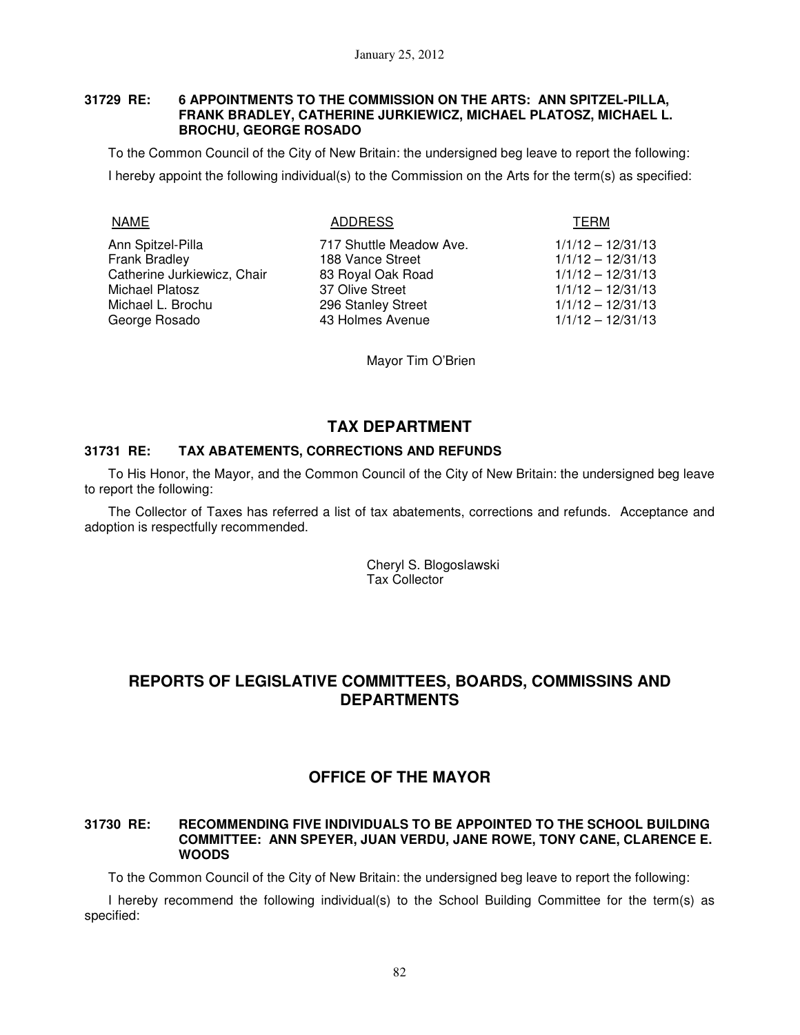#### **31729 RE: 6 APPOINTMENTS TO THE COMMISSION ON THE ARTS: ANN SPITZEL-PILLA, FRANK BRADLEY, CATHERINE JURKIEWICZ, MICHAEL PLATOSZ, MICHAEL L. BROCHU, GEORGE ROSADO**

To the Common Council of the City of New Britain: the undersigned beg leave to report the following: I hereby appoint the following individual(s) to the Commission on the Arts for the term(s) as specified:

NAME ADDRESS TERM

Ann Spitzel-Pilla 717 Shuttle Meadow Ave. 1/1/12 – 12/31/13 Frank Bradley 188 Vance Street 1/1/12 – 12/31/13 Catherine Jurkiewicz, Chair 83 Royal Oak Road 1/1/12 – 12/31/13 Michael Platosz and 37 Olive Street 1/1/12 – 12/31/13 Michael L. Brochu 296 Stanley Street 1/1/12 – 12/31/13 George Rosado 43 Holmes Avenue 1/1/12 – 12/31/13

Mayor Tim O'Brien

# **TAX DEPARTMENT**

## **31731 RE: TAX ABATEMENTS, CORRECTIONS AND REFUNDS**

To His Honor, the Mayor, and the Common Council of the City of New Britain: the undersigned beg leave to report the following:

The Collector of Taxes has referred a list of tax abatements, corrections and refunds. Acceptance and adoption is respectfully recommended.

> Cheryl S. Blogoslawski Tax Collector

# **REPORTS OF LEGISLATIVE COMMITTEES, BOARDS, COMMISSINS AND DEPARTMENTS**

# **OFFICE OF THE MAYOR**

#### **31730 RE: RECOMMENDING FIVE INDIVIDUALS TO BE APPOINTED TO THE SCHOOL BUILDING COMMITTEE: ANN SPEYER, JUAN VERDU, JANE ROWE, TONY CANE, CLARENCE E. WOODS**

To the Common Council of the City of New Britain: the undersigned beg leave to report the following:

I hereby recommend the following individual(s) to the School Building Committee for the term(s) as specified: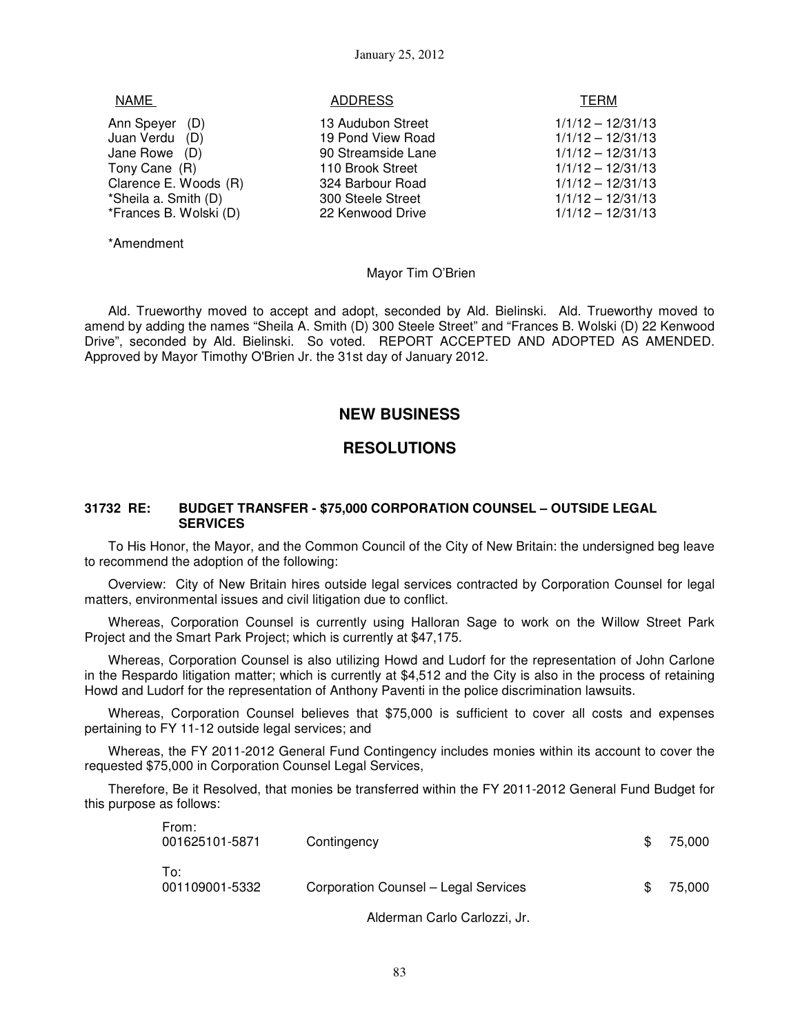| NAME                           | <b>ADDRESS</b>                         | TERM                                       |
|--------------------------------|----------------------------------------|--------------------------------------------|
| Ann Speyer (D)                 | 13 Audubon Street                      | $1/1/12 - 12/31/13$                        |
| Juan Verdu (D)                 | 19 Pond View Road                      | $1/1/12 - 12/31/13$                        |
| Jane Rowe (D)<br>Tony Cane (R) | 90 Streamside Lane<br>110 Brook Street | $1/1/12 - 12/31/13$<br>$1/1/12 - 12/31/13$ |
| Clarence E. Woods (R)          | 324 Barbour Road                       | $1/1/12 - 12/31/13$                        |
| *Sheila a. Smith (D)           | 300 Steele Street                      | $1/1/12 - 12/31/13$                        |
| *Frances B. Wolski (D)         | 22 Kenwood Drive                       | $1/1/12 - 12/31/13$                        |
|                                |                                        |                                            |

\*Amendment

Mayor Tim O'Brien

Ald. Trueworthy moved to accept and adopt, seconded by Ald. Bielinski. Ald. Trueworthy moved to amend by adding the names "Sheila A. Smith (D) 300 Steele Street" and "Frances B. Wolski (D) 22 Kenwood Drive", seconded by Ald. Bielinski. So voted. REPORT ACCEPTED AND ADOPTED AS AMENDED. Approved by Mayor Timothy O'Brien Jr. the 31st day of January 2012.

## **NEW BUSINESS**

## **RESOLUTIONS**

#### **31732 RE: BUDGET TRANSFER - \$75,000 CORPORATION COUNSEL – OUTSIDE LEGAL SERVICES**

To His Honor, the Mayor, and the Common Council of the City of New Britain: the undersigned beg leave to recommend the adoption of the following:

Overview: City of New Britain hires outside legal services contracted by Corporation Counsel for legal matters, environmental issues and civil litigation due to conflict.

Whereas, Corporation Counsel is currently using Halloran Sage to work on the Willow Street Park Project and the Smart Park Project; which is currently at \$47,175.

Whereas, Corporation Counsel is also utilizing Howd and Ludorf for the representation of John Carlone in the Respardo litigation matter; which is currently at \$4,512 and the City is also in the process of retaining Howd and Ludorf for the representation of Anthony Paventi in the police discrimination lawsuits.

Whereas, Corporation Counsel believes that \$75,000 is sufficient to cover all costs and expenses pertaining to FY 11-12 outside legal services; and

Whereas, the FY 2011-2012 General Fund Contingency includes monies within its account to cover the requested \$75,000 in Corporation Counsel Legal Services,

Therefore, Be it Resolved, that monies be transferred within the FY 2011-2012 General Fund Budget for this purpose as follows:

| From:<br>001625101-5871 | Contingency                          | \$. | 75.000 |
|-------------------------|--------------------------------------|-----|--------|
| To:<br>001109001-5332   | Corporation Counsel - Legal Services |     | 75.000 |

Alderman Carlo Carlozzi, Jr.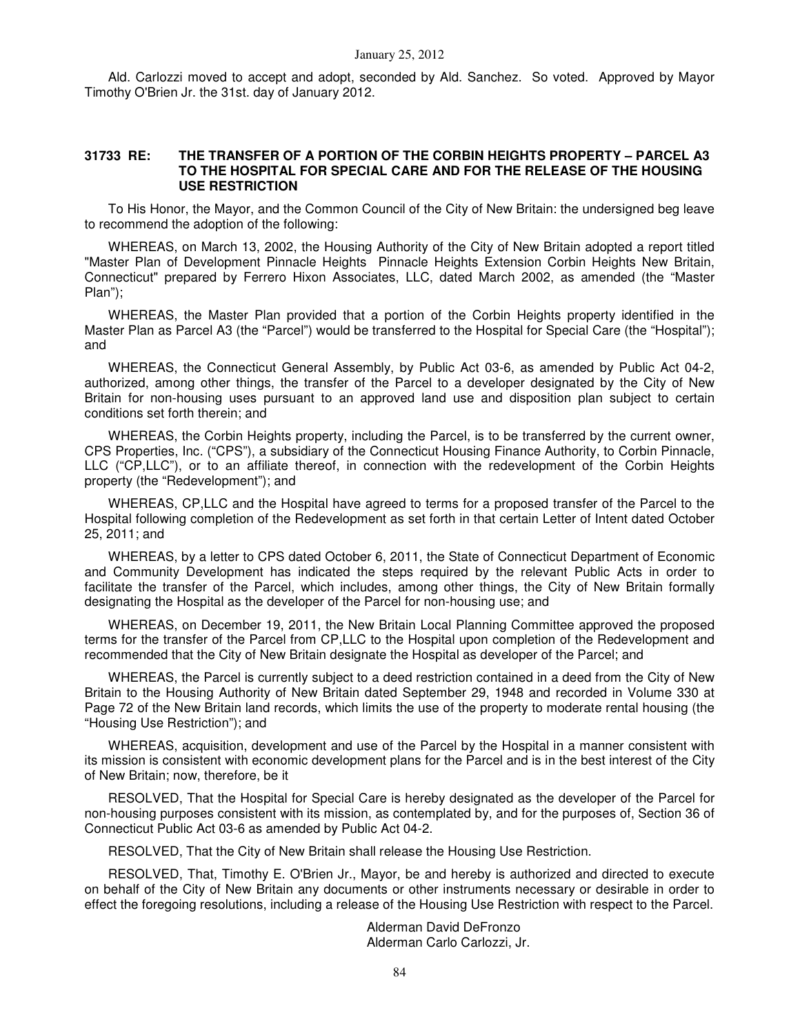Ald. Carlozzi moved to accept and adopt, seconded by Ald. Sanchez. So voted. Approved by Mayor Timothy O'Brien Jr. the 31st. day of January 2012.

#### **31733 RE: THE TRANSFER OF A PORTION OF THE CORBIN HEIGHTS PROPERTY – PARCEL A3 TO THE HOSPITAL FOR SPECIAL CARE AND FOR THE RELEASE OF THE HOUSING USE RESTRICTION**

To His Honor, the Mayor, and the Common Council of the City of New Britain: the undersigned beg leave to recommend the adoption of the following:

WHEREAS, on March 13, 2002, the Housing Authority of the City of New Britain adopted a report titled "Master Plan of Development Pinnacle Heights Pinnacle Heights Extension Corbin Heights New Britain, Connecticut" prepared by Ferrero Hixon Associates, LLC, dated March 2002, as amended (the "Master Plan");

WHEREAS, the Master Plan provided that a portion of the Corbin Heights property identified in the Master Plan as Parcel A3 (the "Parcel") would be transferred to the Hospital for Special Care (the "Hospital"); and

WHEREAS, the Connecticut General Assembly, by Public Act 03-6, as amended by Public Act 04-2, authorized, among other things, the transfer of the Parcel to a developer designated by the City of New Britain for non-housing uses pursuant to an approved land use and disposition plan subject to certain conditions set forth therein; and

WHEREAS, the Corbin Heights property, including the Parcel, is to be transferred by the current owner, CPS Properties, Inc. ("CPS"), a subsidiary of the Connecticut Housing Finance Authority, to Corbin Pinnacle, LLC ("CP,LLC"), or to an affiliate thereof, in connection with the redevelopment of the Corbin Heights property (the "Redevelopment"); and

WHEREAS, CP,LLC and the Hospital have agreed to terms for a proposed transfer of the Parcel to the Hospital following completion of the Redevelopment as set forth in that certain Letter of Intent dated October 25, 2011; and

WHEREAS, by a letter to CPS dated October 6, 2011, the State of Connecticut Department of Economic and Community Development has indicated the steps required by the relevant Public Acts in order to facilitate the transfer of the Parcel, which includes, among other things, the City of New Britain formally designating the Hospital as the developer of the Parcel for non-housing use; and

WHEREAS, on December 19, 2011, the New Britain Local Planning Committee approved the proposed terms for the transfer of the Parcel from CP,LLC to the Hospital upon completion of the Redevelopment and recommended that the City of New Britain designate the Hospital as developer of the Parcel; and

WHEREAS, the Parcel is currently subject to a deed restriction contained in a deed from the City of New Britain to the Housing Authority of New Britain dated September 29, 1948 and recorded in Volume 330 at Page 72 of the New Britain land records, which limits the use of the property to moderate rental housing (the "Housing Use Restriction"); and

WHEREAS, acquisition, development and use of the Parcel by the Hospital in a manner consistent with its mission is consistent with economic development plans for the Parcel and is in the best interest of the City of New Britain; now, therefore, be it

RESOLVED, That the Hospital for Special Care is hereby designated as the developer of the Parcel for non-housing purposes consistent with its mission, as contemplated by, and for the purposes of, Section 36 of Connecticut Public Act 03-6 as amended by Public Act 04-2.

RESOLVED, That the City of New Britain shall release the Housing Use Restriction.

RESOLVED, That, Timothy E. O'Brien Jr., Mayor, be and hereby is authorized and directed to execute on behalf of the City of New Britain any documents or other instruments necessary or desirable in order to effect the foregoing resolutions, including a release of the Housing Use Restriction with respect to the Parcel.

> Alderman David DeFronzo Alderman Carlo Carlozzi, Jr.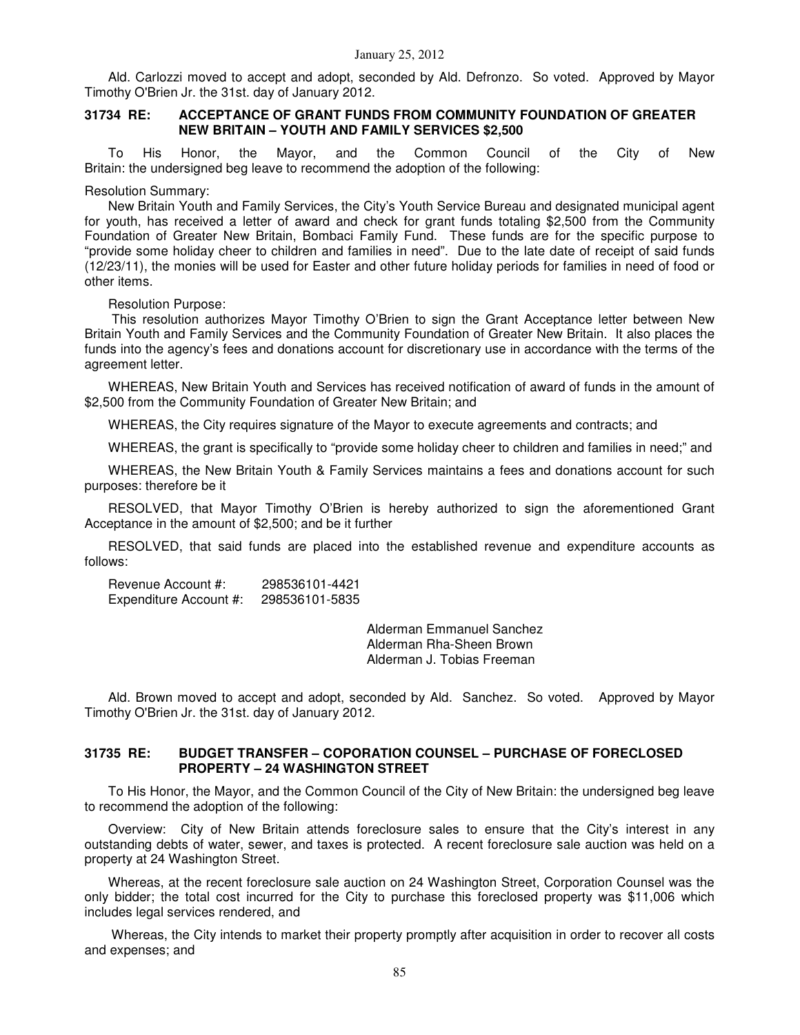Ald. Carlozzi moved to accept and adopt, seconded by Ald. Defronzo. So voted. Approved by Mayor Timothy O'Brien Jr. the 31st. day of January 2012.

#### **31734 RE: ACCEPTANCE OF GRANT FUNDS FROM COMMUNITY FOUNDATION OF GREATER NEW BRITAIN – YOUTH AND FAMILY SERVICES \$2,500**

To His Honor, the Mayor, and the Common Council of the City of New Britain: the undersigned beg leave to recommend the adoption of the following:

Resolution Summary:

New Britain Youth and Family Services, the City's Youth Service Bureau and designated municipal agent for youth, has received a letter of award and check for grant funds totaling \$2,500 from the Community Foundation of Greater New Britain, Bombaci Family Fund. These funds are for the specific purpose to "provide some holiday cheer to children and families in need". Due to the late date of receipt of said funds (12/23/11), the monies will be used for Easter and other future holiday periods for families in need of food or other items.

Resolution Purpose:

 This resolution authorizes Mayor Timothy O'Brien to sign the Grant Acceptance letter between New Britain Youth and Family Services and the Community Foundation of Greater New Britain. It also places the funds into the agency's fees and donations account for discretionary use in accordance with the terms of the agreement letter.

WHEREAS, New Britain Youth and Services has received notification of award of funds in the amount of \$2,500 from the Community Foundation of Greater New Britain; and

WHEREAS, the City requires signature of the Mayor to execute agreements and contracts; and

WHEREAS, the grant is specifically to "provide some holiday cheer to children and families in need;" and

WHEREAS, the New Britain Youth & Family Services maintains a fees and donations account for such purposes: therefore be it

RESOLVED, that Mayor Timothy O'Brien is hereby authorized to sign the aforementioned Grant Acceptance in the amount of \$2,500; and be it further

RESOLVED, that said funds are placed into the established revenue and expenditure accounts as follows:

Revenue Account #: 298536101-4421 Expenditure Account #: 298536101-5835

> Alderman Emmanuel Sanchez Alderman Rha-Sheen Brown Alderman J. Tobias Freeman

Ald. Brown moved to accept and adopt, seconded by Ald. Sanchez. So voted. Approved by Mayor Timothy O'Brien Jr. the 31st. day of January 2012.

#### **31735 RE: BUDGET TRANSFER – COPORATION COUNSEL – PURCHASE OF FORECLOSED PROPERTY – 24 WASHINGTON STREET**

To His Honor, the Mayor, and the Common Council of the City of New Britain: the undersigned beg leave to recommend the adoption of the following:

Overview: City of New Britain attends foreclosure sales to ensure that the City's interest in any outstanding debts of water, sewer, and taxes is protected. A recent foreclosure sale auction was held on a property at 24 Washington Street.

Whereas, at the recent foreclosure sale auction on 24 Washington Street, Corporation Counsel was the only bidder; the total cost incurred for the City to purchase this foreclosed property was \$11,006 which includes legal services rendered, and

 Whereas, the City intends to market their property promptly after acquisition in order to recover all costs and expenses; and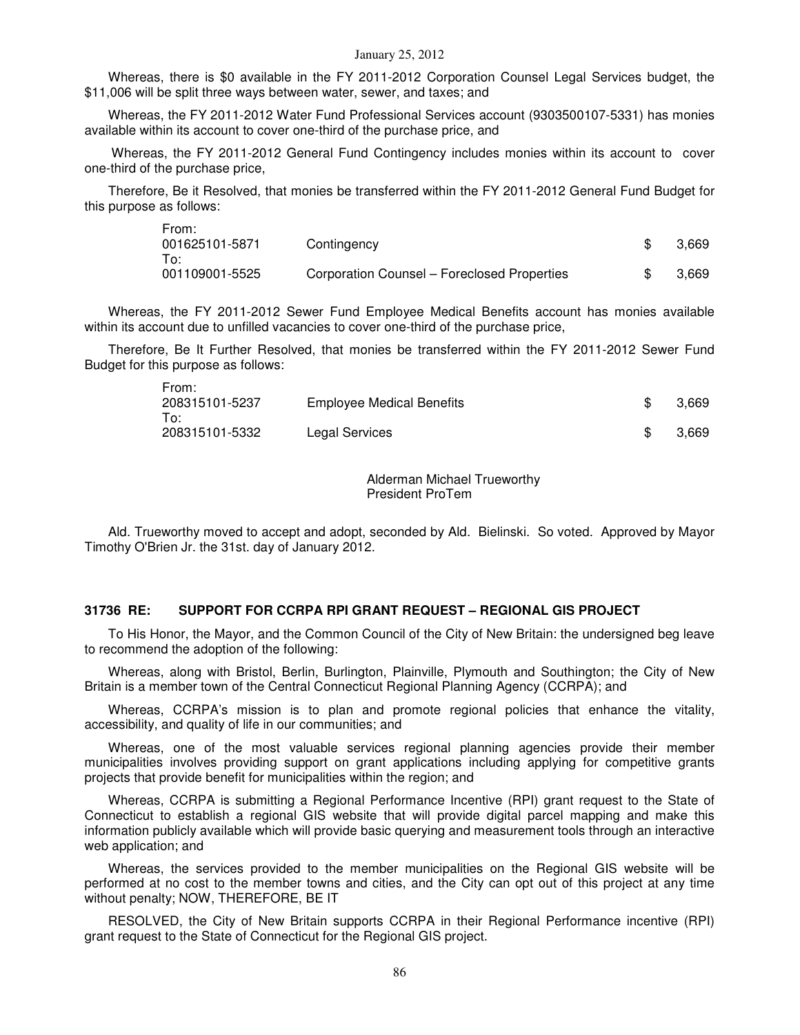Whereas, there is \$0 available in the FY 2011-2012 Corporation Counsel Legal Services budget, the \$11,006 will be split three ways between water, sewer, and taxes; and

Whereas, the FY 2011-2012 Water Fund Professional Services account (9303500107-5331) has monies available within its account to cover one-third of the purchase price, and

 Whereas, the FY 2011-2012 General Fund Contingency includes monies within its account to cover one-third of the purchase price,

Therefore, Be it Resolved, that monies be transferred within the FY 2011-2012 General Fund Budget for this purpose as follows:

| From:          |                                             |       |
|----------------|---------------------------------------------|-------|
| 001625101-5871 | Contingency                                 | 3.669 |
| To:            |                                             |       |
| 001109001-5525 | Corporation Counsel – Foreclosed Properties | 3.669 |

Whereas, the FY 2011-2012 Sewer Fund Employee Medical Benefits account has monies available within its account due to unfilled vacancies to cover one-third of the purchase price,

Therefore, Be It Further Resolved, that monies be transferred within the FY 2011-2012 Sewer Fund Budget for this purpose as follows:

From:

| FIUIIL.<br>208315101-5237<br><b>Employee Medical Benefits</b><br>To: |                | 3.669 |
|----------------------------------------------------------------------|----------------|-------|
| 208315101-5332                                                       | Legal Services | 3.669 |

Alderman Michael Trueworthy President ProTem

Ald. Trueworthy moved to accept and adopt, seconded by Ald. Bielinski. So voted. Approved by Mayor Timothy O'Brien Jr. the 31st. day of January 2012.

#### **31736 RE: SUPPORT FOR CCRPA RPI GRANT REQUEST – REGIONAL GIS PROJECT**

To His Honor, the Mayor, and the Common Council of the City of New Britain: the undersigned beg leave to recommend the adoption of the following:

Whereas, along with Bristol, Berlin, Burlington, Plainville, Plymouth and Southington; the City of New Britain is a member town of the Central Connecticut Regional Planning Agency (CCRPA); and

Whereas, CCRPA's mission is to plan and promote regional policies that enhance the vitality, accessibility, and quality of life in our communities; and

Whereas, one of the most valuable services regional planning agencies provide their member municipalities involves providing support on grant applications including applying for competitive grants projects that provide benefit for municipalities within the region; and

Whereas, CCRPA is submitting a Regional Performance Incentive (RPI) grant request to the State of Connecticut to establish a regional GIS website that will provide digital parcel mapping and make this information publicly available which will provide basic querying and measurement tools through an interactive web application; and

Whereas, the services provided to the member municipalities on the Regional GIS website will be performed at no cost to the member towns and cities, and the City can opt out of this project at any time without penalty; NOW, THEREFORE, BE IT

RESOLVED, the City of New Britain supports CCRPA in their Regional Performance incentive (RPI) grant request to the State of Connecticut for the Regional GIS project.